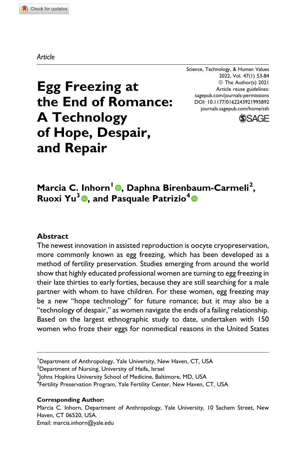#### *Article*

Science, Technology, & Human Values 2022, Vol. 47(1) 53-84 © The Author(s) 2021 Article reuse guidelines: [sagepub.com/journals-permissions](https://sagepub.com/journals-permissions) [DOI: 10.1177/0162243921995892](https://doi.org/10.1177/0162243921995892) [journals.sagepub.com/home/sth](http://journals.sagepub.com/home/sth)



# **Egg Freezing at the End of Romance: A Technology of Hope, Despair, and Repair**

**Marcia C. Inhorn<sup>1</sup> , Daphna Birenbaum-Carmeli<sup>2</sup> , Ruoxi Yu<sup>3</sup> , and Pasquale Patrizio<sup>4</sup>**

### **Abstract**

The newest innovation in assisted reproduction is oocyte cryopreservation, more commonly known as egg freezing, which has been developed as a method of fertility preservation. Studies emerging from around the world show that highly educated professional women are turning to egg freezing in their late thirties to early forties, because they are still searching for a male partner with whom to have children. For these women, egg freezing may be a new "hope technology" for future romance; but it may also be a "technology of despair," as women navigate the ends of a failing relationship. Based on the largest ethnographic study to date, undertaken with 150 women who froze their eggs for nonmedical reasons in the United States

#### **Corresponding Author:**

Marcia C. Inhorn, Department of Anthropology, Yale University, 10 Sachem Street, New Haven, CT 06520, USA.

Email: [marcia.inhorn@yale.edu](mailto:marcia.inhorn@yale.edu)

<sup>&</sup>lt;sup>1</sup>Department of Anthropology, Yale University, New Haven, CT, USA

 $^2$ Department of Nursing, University of Haifa, Israel

<sup>&</sup>lt;sup>3</sup>Johns Hopkins University School of Medicine, Baltimore, MD, USA

<sup>&</sup>lt;sup>4</sup>Fertility Preservation Program, Yale Fertility Center, New Haven, CT, USA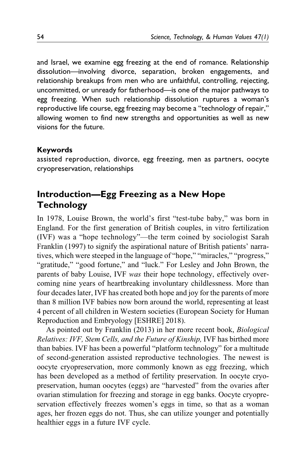and Israel, we examine egg freezing at the end of romance. Relationship dissolution—involving divorce, separation, broken engagements, and relationship breakups from men who are unfaithful, controlling, rejecting, uncommitted, or unready for fatherhood—is one of the major pathways to egg freezing. When such relationship dissolution ruptures a woman's reproductive life course, egg freezing may become a "technology of repair," allowing women to find new strengths and opportunities as well as new visions for the future.

### **Keywords**

assisted reproduction, divorce, egg freezing, men as partners, oocyte cryopreservation, relationships

# **Introduction—Egg Freezing as a New Hope Technology**

In 1978, Louise Brown, the world's first "test-tube baby," was born in England. For the first generation of British couples, in vitro fertilization (IVF) was a "hope technology"—the term coined by sociologist Sarah [Franklin \(1997\)](#page-28-0) to signify the aspirational nature of British patients' narratives, which were steeped in the language of "hope," "miracles," "progress," "gratitude," "good fortune," and "luck." For Lesley and John Brown, the parents of baby Louise, IVF was their hope technology, effectively overcoming nine years of heartbreaking involuntary childlessness. More than four decades later, IVF has created both hope and joy for the parents of more than 8 million IVF babies now born around the world, representing at least 4 percent of all children in Western societies ([European Society for Human](#page-28-0) [Reproduction and Embryology \[ESHRE\] 2018\)](#page-28-0).

As pointed out by [Franklin \(2013\)](#page-28-0) in her more recent book, Biological Relatives: IVF, Stem Cells, and the Future of Kinship, IVF has birthed more than babies. IVF has been a powerful "platform technology" for a multitude of second-generation assisted reproductive technologies. The newest is oocyte cryopreservation, more commonly known as egg freezing, which has been developed as a method of fertility preservation. In oocyte cryopreservation, human oocytes (eggs) are "harvested" from the ovaries after ovarian stimulation for freezing and storage in egg banks. Oocyte cryopreservation effectively freezes women's eggs in time, so that as a woman ages, her frozen eggs do not. Thus, she can utilize younger and potentially healthier eggs in a future IVF cycle.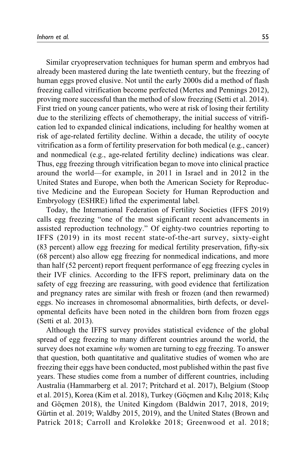Similar cryopreservation techniques for human sperm and embryos had already been mastered during the late twentieth century, but the freezing of human eggs proved elusive. Not until the early 2000s did a method of flash freezing called vitrification become perfected [\(Mertes and Pennings 2012](#page-29-0)), proving more successful than the method of slow freezing [\(Setti et al. 2014](#page-30-0)). First tried on young cancer patients, who were at risk of losing their fertility due to the sterilizing effects of chemotherapy, the initial success of vitrification led to expanded clinical indications, including for healthy women at risk of age-related fertility decline. Within a decade, the utility of oocyte vitrification as a form of fertility preservation for both medical (e.g., cancer) and nonmedical (e.g., age-related fertility decline) indications was clear. Thus, egg freezing through vitrification began to move into clinical practice around the world—for example, in 2011 in Israel and in 2012 in the United States and Europe, when both the American Society for Reproductive Medicine and the European Society for Human Reproduction and Embryology (ESHRE) lifted the experimental label.

Today, the International Federation of Fertility Societies [\(IFFS 2019\)](#page-29-0) calls egg freezing "one of the most significant recent advancements in assisted reproduction technology." Of eighty-two countries reporting to [IFFS \(2019\)](#page-29-0) in its most recent state-of-the-art survey, sixty-eight (83 percent) allow egg freezing for medical fertility preservation, fifty-six (68 percent) also allow egg freezing for nonmedical indications, and more than half (52 percent) report frequent performance of egg freezing cycles in their IVF clinics. According to the IFFS report, preliminary data on the safety of egg freezing are reassuring, with good evidence that fertilization and pregnancy rates are similar with fresh or frozen (and then rewarmed) eggs. No increases in chromosomal abnormalities, birth defects, or developmental deficits have been noted in the children born from frozen eggs [\(Setti et al. 2013](#page-30-0)).

Although the IFFS survey provides statistical evidence of the global spread of egg freezing to many different countries around the world, the survey does not examine why women are turning to egg freezing. To answer that question, both quantitative and qualitative studies of women who are freezing their eggs have been conducted, most published within the past five years. These studies come from a number of different countries, including Australia ([Hammarberg et al. 2017](#page-28-0); [Pritchard et al. 2017\)](#page-30-0), Belgium ([Stoop](#page-30-0) [et al. 2015\)](#page-30-0), Korea [\(Kim et al. 2018](#page-29-0)), Turkey (Göçmen and Kılıç 2018; Kılıç and Göçmen 2018), the United Kingdom [\(Baldwin 2017, 2018](#page-27-0), [2019](#page-27-0); Gürtin et al. 2019; [Waldby 2015, 2019\)](#page-30-0), and the United States ([Brown and](#page-27-0) [Patrick 2018; Carroll and Kroløkke 2018](#page-27-0); [Greenwood et al. 2018](#page-28-0);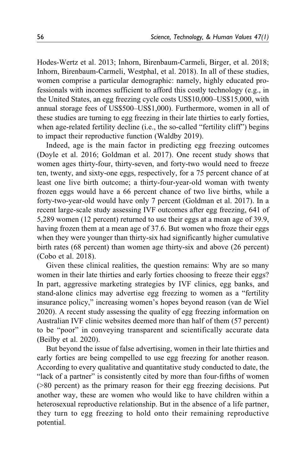[Hodes-Wertz et al. 2013](#page-29-0); [Inhorn, Birenbaum-Carmeli, Birger, et al. 2018](#page-29-0); [Inhorn, Birenbaum-Carmeli, Westphal, et al. 2018\)](#page-29-0). In all of these studies, women comprise a particular demographic: namely, highly educated professionals with incomes sufficient to afford this costly technology (e.g., in the United States, an egg freezing cycle costs US\$10,000–US\$15,000, with annual storage fees of US\$500–US\$1,000). Furthermore, women in all of these studies are turning to egg freezing in their late thirties to early forties, when age-related fertility decline (i.e., the so-called "fertility cliff") begins to impact their reproductive function [\(Waldby 2019\)](#page-30-0).

Indeed, age is the main factor in predicting egg freezing outcomes [\(Doyle et al. 2016](#page-28-0); [Goldman et al. 2017\)](#page-28-0). One recent study shows that women ages thirty-four, thirty-seven, and forty-two would need to freeze ten, twenty, and sixty-one eggs, respectively, for a 75 percent chance of at least one live birth outcome; a thirty-four-year-old woman with twenty frozen eggs would have a 66 percent chance of two live births, while a forty-two-year-old would have only 7 percent [\(Goldman et al. 2017](#page-28-0)). In a recent large-scale study assessing IVF outcomes after egg freezing, 641 of 5,289 women (12 percent) returned to use their eggs at a mean age of 39.9, having frozen them at a mean age of 37.6. But women who froze their eggs when they were younger than thirty-six had significantly higher cumulative birth rates (68 percent) than women age thirty-six and above (26 percent) [\(Cobo et al. 2018\)](#page-28-0).

Given these clinical realities, the question remains: Why are so many women in their late thirties and early forties choosing to freeze their eggs? In part, aggressive marketing strategies by IVF clinics, egg banks, and stand-alone clinics may advertise egg freezing to women as a "fertility insurance policy," increasing women's hopes beyond reason ([van de Wiel](#page-30-0) [2020\)](#page-30-0). A recent study assessing the quality of egg freezing information on Australian IVF clinic websites deemed more than half of them (57 percent) to be "poor" in conveying transparent and scientifically accurate data [\(Beilby et al. 2020\)](#page-27-0).

But beyond the issue of false advertising, women in their late thirties and early forties are being compelled to use egg freezing for another reason. According to every qualitative and quantitative study conducted to date, the "lack of a partner" is consistently cited by more than four-fifths of women (>80 percent) as the primary reason for their egg freezing decisions. Put another way, these are women who would like to have children within a heterosexual reproductive relationship. But in the absence of a life partner, they turn to egg freezing to hold onto their remaining reproductive potential.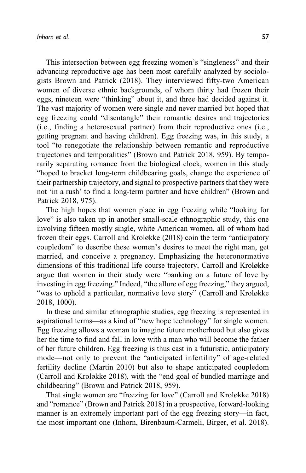This intersection between egg freezing women's "singleness" and their advancing reproductive age has been most carefully analyzed by sociologists [Brown and Patrick \(2018\)](#page-27-0). They interviewed fifty-two American women of diverse ethnic backgrounds, of whom thirty had frozen their eggs, nineteen were "thinking" about it, and three had decided against it. The vast majority of women were single and never married but hoped that egg freezing could "disentangle" their romantic desires and trajectories (i.e., finding a heterosexual partner) from their reproductive ones (i.e., getting pregnant and having children). Egg freezing was, in this study, a tool "to renegotiate the relationship between romantic and reproductive trajectories and temporalities" [\(Brown and Patrick 2018,](#page-27-0) 959). By temporarily separating romance from the biological clock, women in this study "hoped to bracket long-term childbearing goals, change the experience of their partnership trajectory, and signal to prospective partners that they were not 'in a rush' to find a long-term partner and have children" ([Brown and](#page-27-0) [Patrick 2018](#page-27-0), 975).

The high hopes that women place in egg freezing while "looking for love" is also taken up in another small-scale ethnographic study, this one involving fifteen mostly single, white American women, all of whom had frozen their eggs. [Carroll and Kroløkke \(2018\)](#page-27-0) coin the term "anticipatory coupledom" to describe these women's desires to meet the right man, get married, and conceive a pregnancy. Emphasizing the heteronormative dimensions of this traditional life course trajectory, Carroll and Kroløkke argue that women in their study were "banking on a future of love by investing in egg freezing." Indeed, "the allure of egg freezing," they argued, "was to uphold a particular, normative love story" [\(Carroll and Kroløkke](#page-27-0) [2018,](#page-27-0) 1000).

In these and similar ethnographic studies, egg freezing is represented in aspirational terms—as a kind of "new hope technology" for single women. Egg freezing allows a woman to imagine future motherhood but also gives her the time to find and fall in love with a man who will become the father of her future children. Egg freezing is thus cast in a futuristic, anticipatory mode—not only to prevent the "anticipated infertility" of age-related fertility decline [\(Martin 2010\)](#page-29-0) but also to shape anticipated coupledom [\(Carroll and Kroløkke 2018\)](#page-27-0), with the "end goal of bundled marriage and childbearing" ([Brown and Patrick 2018](#page-27-0), 959).

That single women are "freezing for love" [\(Carroll and Kroløkke 2018\)](#page-27-0) and "romance" [\(Brown and Patrick 2018\)](#page-27-0) in a prospective, forward-looking manner is an extremely important part of the egg freezing story—in fact, the most important one [\(Inhorn, Birenbaum-Carmeli, Birger, et al. 2018](#page-29-0)).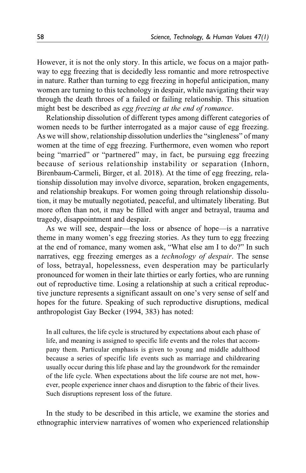However, it is not the only story. In this article, we focus on a major pathway to egg freezing that is decidedly less romantic and more retrospective in nature. Rather than turning to egg freezing in hopeful anticipation, many women are turning to this technology in despair, while navigating their way through the death throes of a failed or failing relationship. This situation might best be described as egg freezing at the end of romance.

Relationship dissolution of different types among different categories of women needs to be further interrogated as a major cause of egg freezing. As we will show, relationship dissolution underlies the "singleness" of many women at the time of egg freezing. Furthermore, even women who report being "married" or "partnered" may, in fact, be pursuing egg freezing because of serious relationship instability or separation ([Inhorn,](#page-29-0) [Birenbaum-Carmeli, Birger, et al. 2018](#page-29-0)). At the time of egg freezing, relationship dissolution may involve divorce, separation, broken engagements, and relationship breakups. For women going through relationship dissolution, it may be mutually negotiated, peaceful, and ultimately liberating. But more often than not, it may be filled with anger and betrayal, trauma and tragedy, disappointment and despair.

As we will see, despair—the loss or absence of hope—is a narrative theme in many women's egg freezing stories. As they turn to egg freezing at the end of romance, many women ask, "What else am I to do?" In such narratives, egg freezing emerges as a technology of despair. The sense of loss, betrayal, hopelessness, even desperation may be particularly pronounced for women in their late thirties or early forties, who are running out of reproductive time. Losing a relationship at such a critical reproductive juncture represents a significant assault on one's very sense of self and hopes for the future. Speaking of such reproductive disruptions, medical anthropologist Gay [Becker \(1994,](#page-27-0) 383) has noted:

In all cultures, the life cycle is structured by expectations about each phase of life, and meaning is assigned to specific life events and the roles that accompany them. Particular emphasis is given to young and middle adulthood because a series of specific life events such as marriage and childrearing usually occur during this life phase and lay the groundwork for the remainder of the life cycle. When expectations about the life course are not met, however, people experience inner chaos and disruption to the fabric of their lives. Such disruptions represent loss of the future.

In the study to be described in this article, we examine the stories and ethnographic interview narratives of women who experienced relationship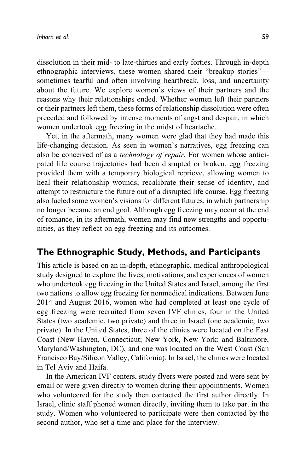dissolution in their mid- to late-thirties and early forties. Through in-depth ethnographic interviews, these women shared their "breakup stories" sometimes tearful and often involving heartbreak, loss, and uncertainty about the future. We explore women's views of their partners and the reasons why their relationships ended. Whether women left their partners or their partners left them, these forms of relationship dissolution were often preceded and followed by intense moments of angst and despair, in which women undertook egg freezing in the midst of heartache.

Yet, in the aftermath, many women were glad that they had made this life-changing decision. As seen in women's narratives, egg freezing can also be conceived of as a technology of repair. For women whose anticipated life course trajectories had been disrupted or broken, egg freezing provided them with a temporary biological reprieve, allowing women to heal their relationship wounds, recalibrate their sense of identity, and attempt to restructure the future out of a disrupted life course. Egg freezing also fueled some women's visions for different futures, in which partnership no longer became an end goal. Although egg freezing may occur at the end of romance, in its aftermath, women may find new strengths and opportunities, as they reflect on egg freezing and its outcomes.

# **The Ethnographic Study, Methods, and Participants**

This article is based on an in-depth, ethnographic, medical anthropological study designed to explore the lives, motivations, and experiences of women who undertook egg freezing in the United States and Israel, among the first two nations to allow egg freezing for nonmedical indications. Between June 2014 and August 2016, women who had completed at least one cycle of egg freezing were recruited from seven IVF clinics, four in the United States (two academic, two private) and three in Israel (one academic, two private). In the United States, three of the clinics were located on the East Coast (New Haven, Connecticut; New York, New York; and Baltimore, Maryland/Washington, DC), and one was located on the West Coast (San Francisco Bay/Silicon Valley, California). In Israel, the clinics were located in Tel Aviv and Haifa.

In the American IVF centers, study flyers were posted and were sent by email or were given directly to women during their appointments. Women who volunteered for the study then contacted the first author directly. In Israel, clinic staff phoned women directly, inviting them to take part in the study. Women who volunteered to participate were then contacted by the second author, who set a time and place for the interview.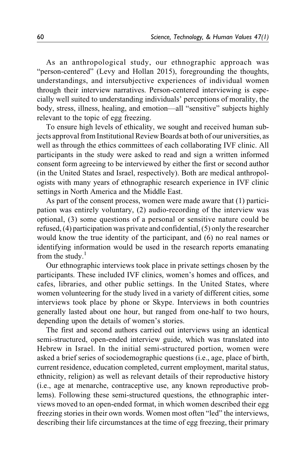As an anthropological study, our ethnographic approach was "person-centered" [\(Levy and Hollan 2015](#page-29-0)), foregrounding the thoughts, understandings, and intersubjective experiences of individual women through their interview narratives. Person-centered interviewing is especially well suited to understanding individuals' perceptions of morality, the body, stress, illness, healing, and emotion—all "sensitive" subjects highly relevant to the topic of egg freezing.

To ensure high levels of ethicality, we sought and received human subjects approval from Institutional Review Boards at both of our universities, as well as through the ethics committees of each collaborating IVF clinic. All participants in the study were asked to read and sign a written informed consent form agreeing to be interviewed by either the first or second author (in the United States and Israel, respectively). Both are medical anthropologists with many years of ethnographic research experience in IVF clinic settings in North America and the Middle East.

As part of the consent process, women were made aware that (1) participation was entirely voluntary, (2) audio-recording of the interview was optional, (3) some questions of a personal or sensitive nature could be refused, (4) participation was private and confidential, (5) only the researcher would know the true identity of the participant, and (6) no real names or identifying information would be used in the research reports emanating from the study. $1$ 

Our ethnographic interviews took place in private settings chosen by the participants. These included IVF clinics, women's homes and offices, and cafes, libraries, and other public settings. In the United States, where women volunteering for the study lived in a variety of different cities, some interviews took place by phone or Skype. Interviews in both countries generally lasted about one hour, but ranged from one-half to two hours, depending upon the details of women's stories.

The first and second authors carried out interviews using an identical semi-structured, open-ended interview guide, which was translated into Hebrew in Israel. In the initial semi-structured portion, women were asked a brief series of sociodemographic questions (i.e., age, place of birth, current residence, education completed, current employment, marital status, ethnicity, religion) as well as relevant details of their reproductive history (i.e., age at menarche, contraceptive use, any known reproductive problems). Following these semi-structured questions, the ethnographic interviews moved to an open-ended format, in which women described their egg freezing stories in their own words. Women most often "led" the interviews, describing their life circumstances at the time of egg freezing, their primary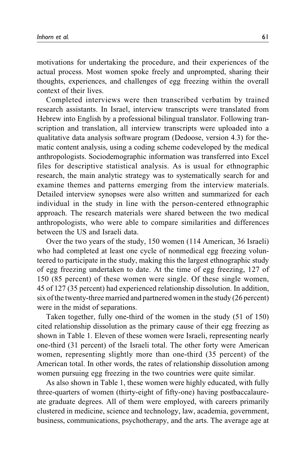motivations for undertaking the procedure, and their experiences of the actual process. Most women spoke freely and unprompted, sharing their thoughts, experiences, and challenges of egg freezing within the overall context of their lives.

Completed interviews were then transcribed verbatim by trained research assistants. In Israel, interview transcripts were translated from Hebrew into English by a professional bilingual translator. Following transcription and translation, all interview transcripts were uploaded into a qualitative data analysis software program (Dedoose, version 4.3) for thematic content analysis, using a coding scheme codeveloped by the medical anthropologists. Sociodemographic information was transferred into Excel files for descriptive statistical analysis. As is usual for ethnographic research, the main analytic strategy was to systematically search for and examine themes and patterns emerging from the interview materials. Detailed interview synopses were also written and summarized for each individual in the study in line with the person-centered ethnographic approach. The research materials were shared between the two medical anthropologists, who were able to compare similarities and differences between the US and Israeli data.

Over the two years of the study, 150 women (114 American, 36 Israeli) who had completed at least one cycle of nonmedical egg freezing volunteered to participate in the study, making this the largest ethnographic study of egg freezing undertaken to date. At the time of egg freezing, 127 of 150 (85 percent) of these women were single. Of these single women, 45 of 127 (35 percent) had experienced relationship dissolution. In addition, six of the twenty-three married and partnered women in the study (26 percent) were in the midst of separations.

Taken together, fully one-third of the women in the study (51 of 150) cited relationship dissolution as the primary cause of their egg freezing as shown in [Table 1](#page-9-0). Eleven of these women were Israeli, representing nearly one-third (31 percent) of the Israeli total. The other forty were American women, representing slightly more than one-third (35 percent) of the American total. In other words, the rates of relationship dissolution among women pursuing egg freezing in the two countries were quite similar.

As also shown in [Table 1,](#page-9-0) these women were highly educated, with fully three-quarters of women (thirty-eight of fifty-one) having postbaccalaureate graduate degrees. All of them were employed, with careers primarily clustered in medicine, science and technology, law, academia, government, business, communications, psychotherapy, and the arts. The average age at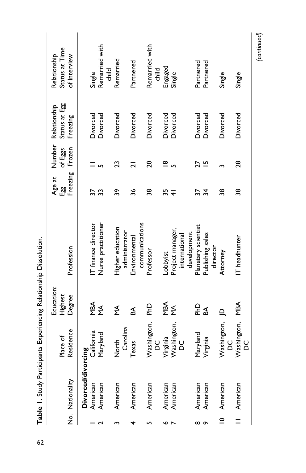<span id="page-9-0"></span>

|             | No. Nationality    | Residence<br>Place of | Education:<br>Degree<br>Highest | Profession                        | Freezing<br>Age at<br>똃 | Number<br>of Eggs<br>Frozen | Status at Egg<br>Relationship<br>Freezing | Status at Time<br>Relationship<br>of Interview |
|-------------|--------------------|-----------------------|---------------------------------|-----------------------------------|-------------------------|-----------------------------|-------------------------------------------|------------------------------------------------|
|             | Divorced/divorcing |                       |                                 |                                   |                         |                             |                                           |                                                |
|             | American           | California            |                                 | IT finance director               | 57                      |                             | Divorced                                  | Single                                         |
|             | American           | Maryland              | MBA<br>MA                       | Nurse practitioner                | 33                      |                             | Divorced                                  | Remarried with<br>금.<br>E                      |
|             | American           | North                 | ₹                               | Higher education                  | ဇ္တ                     | 23                          | Divorced                                  | Remarried                                      |
|             |                    | Carolina              |                                 | administrator                     |                         |                             |                                           |                                                |
| 4           | American           | Texas                 | SA.                             | Environmental                     | 36                      | ಸ                           | Divorced                                  | Partnered                                      |
|             |                    |                       |                                 | communications                    |                         |                             |                                           |                                                |
|             | American           | Washington,<br>o<br>D | 음                               | Professor                         | 88                      | 20                          | Divorced                                  | Remarried with<br>child                        |
| ç           | American           | Virginia              | MBA                             | Lobbyist                          | 55                      | ≌                           | Divorced                                  |                                                |
|             | American           | Washington,<br>2d     | $\sum_{i=1}^{n}$                | Project manager,<br>international | ₹                       |                             | Divorced                                  | Engaged<br>Single                              |
|             |                    |                       |                                 | development                       |                         |                             |                                           |                                                |
| $\infty$    | American           | Maryland              |                                 | Planetary scientist               | 37                      |                             | Divorced                                  | Partnered                                      |
| ç           | American           | Virginia              | 윤정                              | Publishing sales<br>director      | $\frac{1}{2}$           | ≌                           | Divorced                                  | Partnered                                      |
| $\subseteq$ | American           | Washington,<br>o<br>D | $\mathbf{a}$                    | Attorney                          | 38                      |                             | Divorced                                  | Single                                         |
| $=$         | American           | Washington,<br>20     | MBA                             | IT headhunter                     | 38                      | 28                          | Divorced                                  | Single                                         |

*(continued)*

Table 1. Study Participants Experiencing Relationship Dissolution. **Table 1.** Study Participants Experiencing Relationship Dissolution.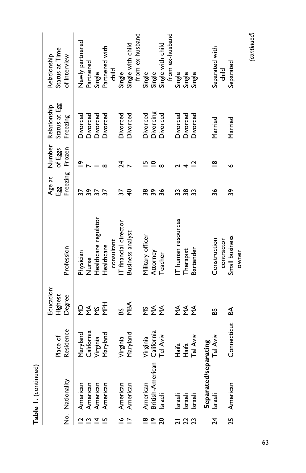|                               | Table I. (continued) |                      |                          |                       |                    |                   |                               |                                       |
|-------------------------------|----------------------|----------------------|--------------------------|-----------------------|--------------------|-------------------|-------------------------------|---------------------------------------|
|                               |                      | Place of             | Education:<br>Highest    |                       | Age at<br><u>명</u> | Number<br>of Eggs | Status at Egg<br>Relationship | Status at Time<br>Relationship        |
|                               | No. Nationality      | Residence            | Degree                   | Profession            | Freezing           | Frozen            | Freezing                      | of Interview                          |
| $\overline{a}$ $\overline{a}$ | American             | Maryland             | 요                        | Physician             | 37                 | $\tilde{=}$       | Divorced                      | Newly partnered                       |
|                               | American             | California           | $rac{4}{2}$ $rac{6}{2}$  | Nurse                 | 39                 |                   | Divorced                      | Partnered                             |
| $\overline{4}$                | American             | Virginia             |                          | Healthcare regulator  | $\overline{37}$    |                   | Divorced                      | Single                                |
| $\overline{5}$                | American             | Maryland             | <b>Her</b>               | Healthcare            |                    | $\infty$          | Divorced                      | Partnered with                        |
|                               |                      |                      |                          | consultant            |                    |                   |                               | child                                 |
| $\leq$ $\overline{\sim}$      | American             |                      | 8                        | IT financial director | 57                 | শ্ৰ               | Divorced                      | Single                                |
|                               | American             | Virginia<br>Maryland | MBA                      | Business analyst      | $\overline{4}$     |                   | Divorced                      | Single with child                     |
|                               |                      |                      |                          |                       |                    |                   |                               | from ex-husband                       |
| $\frac{\infty}{\infty}$       | American             | Virginia             |                          | Military officer      | ន្ត ន              | 으                 | Divorced                      |                                       |
|                               | British-American     | California           | Σ₹<br>Σ                  | Attorney              |                    | $\subseteq$       | Divorcing                     | Single<br>Single<br>Single with child |
| $\mathsf{S}$                  | lsraeli              | Tel Aviv             | $\sum_{\mathbf{\Sigma}}$ | Teacher               | 36                 | $\infty$          | Divorced                      |                                       |
|                               |                      |                      |                          |                       |                    |                   |                               | from ex-husband                       |
|                               | Israeli              | Haifa                |                          | IT human resources    | 32<br>38           |                   | Divorced                      |                                       |
|                               | Israeli              | Haifa                | ∑ ∑ ∑<br>≥ ≥ ∑           | Therapist             |                    |                   | Divorced                      |                                       |
| $\boldsymbol{\mathcal{Z}}$    | Israeli              | Tel Aviv             |                          | Bartender             | 33                 | ₫                 | Divorced                      | Single<br>Single<br>Single            |
|                               | Separated/separating |                      |                          |                       |                    |                   |                               |                                       |
| $\overline{24}$               | Israeli              | Tel Aviv             | 58                       | Construction          | 36                 | $\infty$          | Married                       | Separated with                        |
|                               |                      |                      |                          | contractor            |                    |                   |                               | child                                 |
| 25                            | American             | Connecticut          | \$                       | Small business        | 39                 |                   | Married                       | Separated                             |
|                               |                      |                      |                          | owner                 |                    |                   |                               |                                       |

*(continued)*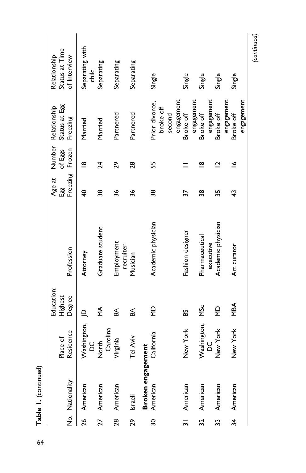|               | No. Nationality   | Place of           | Education:<br>Highest   | Profession                      | 덇                       | of Eggs                 | Status at Egg<br>Age at Number Relationship<br>Freezing | Status at Time<br>Relationship<br>of Interview |
|---------------|-------------------|--------------------|-------------------------|---------------------------------|-------------------------|-------------------------|---------------------------------------------------------|------------------------------------------------|
|               |                   | Residence          | Degree                  |                                 | Freezing                | Frozen                  |                                                         |                                                |
|               | 26 American       | Washington,<br>ပ္တ | $\overline{a}$          | Attorney                        | $\overline{\mathsf{F}}$ | $\infty$                | Married                                                 | Separating with<br>child                       |
| 27            | American          | Carolina<br>North  | ≨                       | Graduate student                | 38                      | 24                      | Married                                                 | Separating                                     |
| 28            | American          | Virginia           | ≴                       | Employment<br>recruiter         | 36                      | 29                      | Partnered                                               | Separating                                     |
| 29            | Israeli           | Tel Aviv           | ₹                       | Musician                        | 36                      | 28                      | Partnered                                               | Separating                                     |
|               | Broken engagement |                    |                         |                                 |                         |                         |                                                         |                                                |
| 30            | American          | California         | $\frac{\Omega}{\Sigma}$ | Academic physician              | 38                      | 55                      | Prior divorce,<br>broke off<br>second                   | Single                                         |
| $\frac{1}{2}$ | American          | New York           | SS                      | Fashion designer                | 57                      |                         | engagement<br>Broke off                                 | Single                                         |
| ຊ             | American          | Washington,        | <b>MSc</b>              | Pharmaceutical                  | 38                      | ∞                       | engagement<br>Broke off                                 | Single                                         |
| 33            | American          | New York<br>8<br>D | $\frac{\Omega}{\Sigma}$ | Academic physician<br>executive | 35                      | $\overline{\mathbf{C}}$ | engagement<br>Broke off                                 | Single                                         |
| 34            | American          | New York           | MBA                     | Art curator                     | 43                      | $\tilde{ }$             | engagement<br>Broke off                                 | Single                                         |
|               |                   |                    |                         |                                 |                         |                         | engagement                                              |                                                |

*(continued)*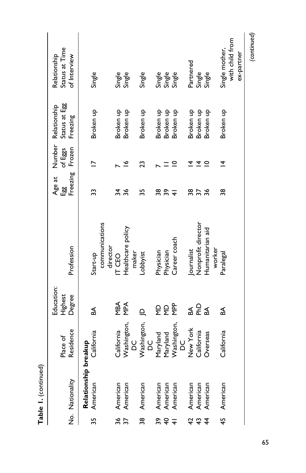|                 | Table 1. (continued) |                       |             |                            |                |                          |                     |                                   |
|-----------------|----------------------|-----------------------|-------------|----------------------------|----------------|--------------------------|---------------------|-----------------------------------|
|                 |                      |                       | Education:  |                            | Age at         |                          | Number Relationship | Relationship                      |
|                 |                      | Place of              | Highest     |                            | 덇              | of Eggs                  | Status at Egg       | Status at Time                    |
|                 | No. Nationality      | Residence             | Degree      | Profession                 | Freezing       | Frozen                   | Freezing            | of Interview                      |
|                 | Relationship breakup |                       |             |                            |                |                          |                     |                                   |
| 35              | American             | California            | SA,         | Start-up                   | 33             | $\overline{\phantom{0}}$ | Broken up           | Single                            |
|                 |                      |                       |             | communications<br>director |                |                          |                     |                                   |
| 37              | American             | California            | MBA         | IT CEO                     | 34             |                          | Broken up           |                                   |
|                 | American             | Washington,           | MPA         | Healthcare policy          | 36             | ৺                        | Broken up           | Single<br>Single                  |
|                 |                      | o<br>D                |             | maker                      |                |                          |                     |                                   |
| 38              | American             | Washington,<br>8<br>D | $\triangle$ | Lobbyist                   | 55             | 23                       | Broken up           | Single                            |
|                 | American             | Maryland              |             | Physician                  | 38             |                          | Broken up           |                                   |
| $B + 4$         | American             | Maryland              | 오 오         | Physician                  | ვ <sub>ი</sub> |                          | Broken up           | Single<br>Single<br>Single        |
|                 | American             | Washington,<br>o<br>Q | <b>PP</b>   | Career coach               |                | $\subseteq$              | Broken up           |                                   |
|                 | American             | New York              |             | <b>Journalist</b>          |                |                          | Broken up           | Partnered                         |
| <del>4</del> ਹੈ | American             | California            | 폭동목         | Nonprofit director         | 8<br>25        |                          | Broken up           | Single                            |
| $\frac{4}{5}$   | American             | Overseas              |             | Humanitarian aid           | 36             |                          | Broken up           | Single                            |
|                 |                      |                       |             | worker                     |                |                          |                     |                                   |
| 45              | American             | California            | ₹           | Paralegal                  | 38             | $\overline{4}$           | Broken up           | with child from<br>Single mother, |
|                 |                      |                       |             |                            |                |                          |                     | ex-partner                        |
|                 |                      |                       |             |                            |                |                          |                     | (continued)                       |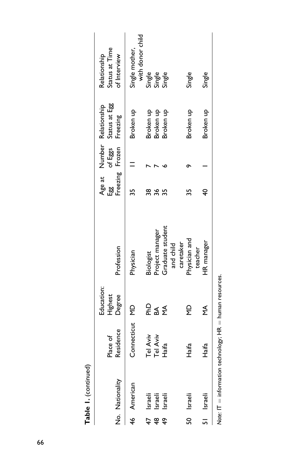| ٠ |
|---|

|    | No. Nationality                                           | Residence<br>Place of | Education:<br>Degree<br>Highest | Profession             |   | Freezing Frozen | Age at Number Relationship<br>Egg of Eggs Status at Egg<br>Freezing | Status at Time<br>Relationship<br>of Interview |
|----|-----------------------------------------------------------|-----------------------|---------------------------------|------------------------|---|-----------------|---------------------------------------------------------------------|------------------------------------------------|
|    | 46 American                                               | Connecticut MD        |                                 | Physician              |   |                 | Broken up                                                           | Single mother,<br>with donor child             |
| 47 | Israeli                                                   | Tel Aviv              |                                 | Biologist              |   |                 | Broken up                                                           |                                                |
| ₽  | Israeli                                                   | Tel Aviv              | ទី ₹ ≨<br>ក                     | roject manager         | ٥ |                 | Broken up                                                           |                                                |
| ÷  | Israeli                                                   | Haifa                 |                                 | Graduate student       |   |                 | Broken up                                                           | Single<br>Single<br>Single                     |
|    |                                                           |                       |                                 | caretaker<br>and child |   |                 |                                                                     |                                                |
|    | 50 Israeli                                                | Haifa                 | $\frac{\Omega}{2}$              | Physician and          |   |                 | Broken up                                                           | Single                                         |
|    | 51 Israeli                                                | Haifa                 | ≨                               | HR manager<br>teacher  |   |                 | Broken up                                                           | Single                                         |
|    | Note: IT — information tochoology : HB — burman resources |                       |                                 |                        |   |                 |                                                                     |                                                |

Note:  $IT =$  information technology;  $HR =$  human resources.  $Note: If = information technology; HR = human resources.$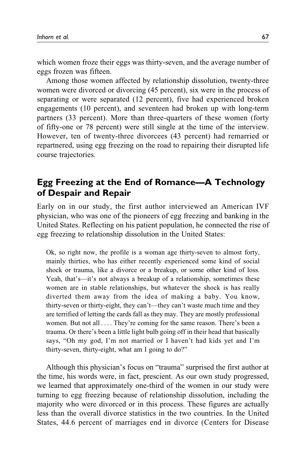which women froze their eggs was thirty-seven, and the average number of eggs frozen was fifteen.

Among those women affected by relationship dissolution, twenty-three women were divorced or divorcing (45 percent), six were in the process of separating or were separated (12 percent), five had experienced broken engagements (10 percent), and seventeen had broken up with long-term partners (33 percent). More than three-quarters of these women (forty of fifty-one or 78 percent) were still single at the time of the interview. However, ten of twenty-three divorcees (43 percent) had remarried or repartnered, using egg freezing on the road to repairing their disrupted life course trajectories.

# **Egg Freezing at the End of Romance—A Technology of Despair and Repair**

Early on in our study, the first author interviewed an American IVF physician, who was one of the pioneers of egg freezing and banking in the United States. Reflecting on his patient population, he connected the rise of egg freezing to relationship dissolution in the United States:

Ok, so right now, the profile is a woman age thirty-seven to almost forty, mainly thirties, who has either recently experienced some kind of social shock or trauma, like a divorce or a breakup, or some other kind of loss. Yeah, that's—it's not always a breakup of a relationship, sometimes these women are in stable relationships, but whatever the shock is has really diverted them away from the idea of making a baby. You know, thirty-seven or thirty-eight, they can't—they can't waste much time and they are terrified of letting the cards fall as they may. They are mostly professional women. But not all ... . They're coming for the same reason. There's been a trauma. Or there's been a little light bulb going off in their head that basically says, "Oh my god, I'm not married or I haven't had kids yet and I'm thirty-seven, thirty-eight, what am I going to do?"

Although this physician's focus on "trauma" surprised the first author at the time, his words were, in fact, prescient. As our own study progressed, we learned that approximately one-third of the women in our study were turning to egg freezing because of relationship dissolution, including the majority who were divorced or in this process. These figures are actually less than the overall divorce statistics in the two countries. In the United States, 44.6 percent of marriages end in divorce ([Centers for Disease](#page-27-0)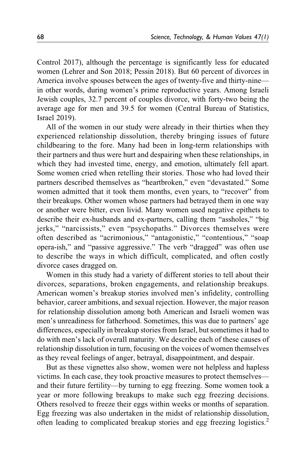[Control 2017](#page-27-0)), although the percentage is significantly less for educated women [\(Lehrer and Son 2018](#page-29-0); [Pessin 2018\)](#page-29-0). But 60 percent of divorces in America involve spouses between the ages of twenty-five and thirty-nine in other words, during women's prime reproductive years. Among Israeli Jewish couples, 32.7 percent of couples divorce, with forty-two being the average age for men and 39.5 for women [\(Central Bureau of Statistics,](#page-27-0) [Israel 2019\)](#page-27-0).

All of the women in our study were already in their thirties when they experienced relationship dissolution, thereby bringing issues of future childbearing to the fore. Many had been in long-term relationships with their partners and thus were hurt and despairing when these relationships, in which they had invested time, energy, and emotion, ultimately fell apart. Some women cried when retelling their stories. Those who had loved their partners described themselves as "heartbroken," even "devastated." Some women admitted that it took them months, even years, to "recover" from their breakups. Other women whose partners had betrayed them in one way or another were bitter, even livid. Many women used negative epithets to describe their ex-husbands and ex-partners, calling them "assholes," "big jerks," "narcissists," even "psychopaths." Divorces themselves were often described as "acrimonious," "antagonistic," "contentious," "soap opera-ish," and "passive aggressive." The verb "dragged" was often use to describe the ways in which difficult, complicated, and often costly divorce cases dragged on.

Women in this study had a variety of different stories to tell about their divorces, separations, broken engagements, and relationship breakups. American women's breakup stories involved men's infidelity, controlling behavior, career ambitions, and sexual rejection. However, the major reason for relationship dissolution among both American and Israeli women was men's unreadiness for fatherhood. Sometimes, this was due to partners' age differences, especially in breakup stories from Israel, but sometimes it had to do with men's lack of overall maturity. We describe each of these causes of relationship dissolution in turn, focusing on the voices of women themselves as they reveal feelings of anger, betrayal, disappointment, and despair.

But as these vignettes also show, women were not helpless and hapless victims. In each case, they took proactive measures to protect themselves and their future fertility—by turning to egg freezing. Some women took a year or more following breakups to make such egg freezing decisions. Others resolved to freeze their eggs within weeks or months of separation. Egg freezing was also undertaken in the midst of relationship dissolution, often leading to complicated breakup stories and egg freezing logistics.[2](#page-27-0)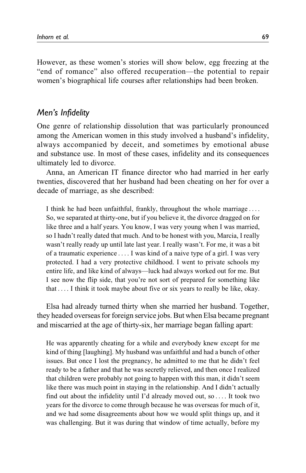However, as these women's stories will show below, egg freezing at the "end of romance" also offered recuperation—the potential to repair women's biographical life courses after relationships had been broken.

### *Men's Infidelity*

One genre of relationship dissolution that was particularly pronounced among the American women in this study involved a husband's infidelity, always accompanied by deceit, and sometimes by emotional abuse and substance use. In most of these cases, infidelity and its consequences ultimately led to divorce.

Anna, an American IT finance director who had married in her early twenties, discovered that her husband had been cheating on her for over a decade of marriage, as she described:

I think he had been unfaithful, frankly, throughout the whole marriage ... . So, we separated at thirty-one, but if you believe it, the divorce dragged on for like three and a half years. You know, I was very young when I was married, so I hadn't really dated that much. And to be honest with you, Marcia, I really wasn't really ready up until late last year. I really wasn't. For me, it was a bit of a traumatic experience ... . I was kind of a naive type of a girl. I was very protected. I had a very protective childhood. I went to private schools my entire life, and like kind of always—luck had always worked out for me. But I see now the flip side, that you're not sort of prepared for something like that ... . I think it took maybe about five or six years to really be like, okay.

Elsa had already turned thirty when she married her husband. Together, they headed overseas for foreign service jobs. But when Elsa became pregnant and miscarried at the age of thirty-six, her marriage began falling apart:

He was apparently cheating for a while and everybody knew except for me kind of thing [laughing]. My husband was unfaithful and had a bunch of other issues. But once I lost the pregnancy, he admitted to me that he didn't feel ready to be a father and that he was secretly relieved, and then once I realized that children were probably not going to happen with this man, it didn't seem like there was much point in staying in the relationship. And I didn't actually find out about the infidelity until I'd already moved out, so ... . It took two years for the divorce to come through because he was overseas for much of it, and we had some disagreements about how we would split things up, and it was challenging. But it was during that window of time actually, before my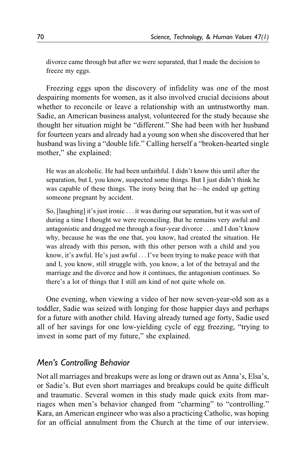divorce came through but after we were separated, that I made the decision to freeze my eggs.

Freezing eggs upon the discovery of infidelity was one of the most despairing moments for women, as it also involved crucial decisions about whether to reconcile or leave a relationship with an untrustworthy man. Sadie, an American business analyst, volunteered for the study because she thought her situation might be "different." She had been with her husband for fourteen years and already had a young son when she discovered that her husband was living a "double life." Calling herself a "broken-hearted single mother," she explained:

He was an alcoholic. He had been unfaithful. I didn't know this until after the separation, but I, you know, suspected some things. But I just didn't think he was capable of these things. The irony being that he—he ended up getting someone pregnant by accident.

So, [laughing] it's just ironic ... it was during our separation, but it was sort of during a time I thought we were reconciling. But he remains very awful and antagonistic and dragged me through a four-year divorce ... and I don't know why, because he was the one that, you know, had created the situation. He was already with this person, with this other person with a child and you know, it's awful. He's just awful ...I've been trying to make peace with that and I, you know, still struggle with, you know, a lot of the betrayal and the marriage and the divorce and how it continues, the antagonism continues. So there's a lot of things that I still am kind of not quite whole on.

One evening, when viewing a video of her now seven-year-old son as a toddler, Sadie was seized with longing for those happier days and perhaps for a future with another child. Having already turned age forty, Sadie used all of her savings for one low-yielding cycle of egg freezing, "trying to invest in some part of my future," she explained.

## *Men's Controlling Behavior*

Not all marriages and breakups were as long or drawn out as Anna's, Elsa's, or Sadie's. But even short marriages and breakups could be quite difficult and traumatic. Several women in this study made quick exits from marriages when men's behavior changed from "charming" to "controlling." Kara, an American engineer who was also a practicing Catholic, was hoping for an official annulment from the Church at the time of our interview.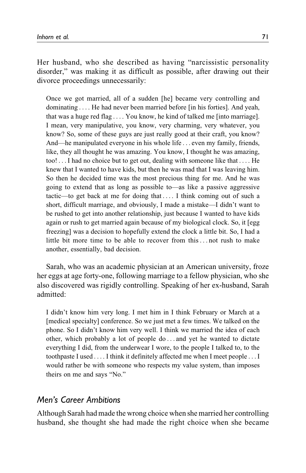Her husband, who she described as having "narcissistic personality disorder," was making it as difficult as possible, after drawing out their divorce proceedings unnecessarily:

Once we got married, all of a sudden [he] became very controlling and dominating ... . He had never been married before [in his forties]. And yeah, that was a huge red flag ... . You know, he kind of talked me [into marriage]. I mean, very manipulative, you know, very charming, very whatever, you know? So, some of these guys are just really good at their craft, you know? And—he manipulated everyone in his whole life ... even my family, friends, like, they all thought he was amazing. You know, I thought he was amazing, too! ... I had no choice but to get out, dealing with someone like that ... . He knew that I wanted to have kids, but then he was mad that I was leaving him. So then he decided time was the most precious thing for me. And he was going to extend that as long as possible to—as like a passive aggressive tactic—to get back at me for doing that ... . I think coming out of such a short, difficult marriage, and obviously, I made a mistake—I didn't want to be rushed to get into another relationship, just because I wanted to have kids again or rush to get married again because of my biological clock. So, it [egg freezing] was a decision to hopefully extend the clock a little bit. So, I had a little bit more time to be able to recover from this... not rush to make another, essentially, bad decision.

Sarah, who was an academic physician at an American university, froze her eggs at age forty-one, following marriage to a fellow physician, who she also discovered was rigidly controlling. Speaking of her ex-husband, Sarah admitted:

I didn't know him very long. I met him in I think February or March at a [medical specialty] conference. So we just met a few times. We talked on the phone. So I didn't know him very well. I think we married the idea of each other, which probably a lot of people do ... and yet he wanted to dictate everything I did, from the underwear I wore, to the people I talked to, to the toothpaste I used ... . I think it definitely affected me when I meet people ...I would rather be with someone who respects my value system, than imposes theirs on me and says "No."

### *Men's Career Ambitions*

Although Sarah had made the wrong choice when she married her controlling husband, she thought she had made the right choice when she became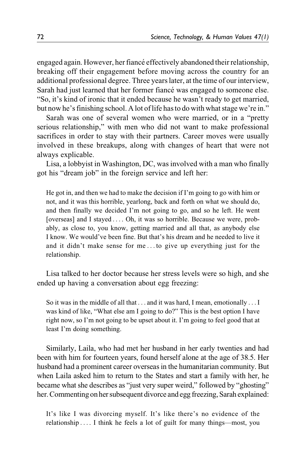engaged again. However, her fiancé effectively abandoned their relationship, breaking off their engagement before moving across the country for an additional professional degree. Three years later, at the time of our interview, Sarah had just learned that her former fiancé was engaged to someone else. "So, it's kind of ironic that it ended because he wasn't ready to get married, but now he's finishing school. A lot of life has to do with what stage we're in."

Sarah was one of several women who were married, or in a "pretty serious relationship," with men who did not want to make professional sacrifices in order to stay with their partners. Career moves were usually involved in these breakups, along with changes of heart that were not always explicable.

Lisa, a lobbyist in Washington, DC, was involved with a man who finally got his "dream job" in the foreign service and left her:

He got in, and then we had to make the decision if I'm going to go with him or not, and it was this horrible, yearlong, back and forth on what we should do, and then finally we decided I'm not going to go, and so he left. He went [overseas] and I stayed ... . Oh, it was so horrible. Because we were, probably, as close to, you know, getting married and all that, as anybody else I know. We would've been fine. But that's his dream and he needed to live it and it didn't make sense for me ... to give up everything just for the relationship.

Lisa talked to her doctor because her stress levels were so high, and she ended up having a conversation about egg freezing:

So it was in the middle of all that ... and it was hard, I mean, emotionally ...I was kind of like, "What else am I going to do?" This is the best option I have right now, so I'm not going to be upset about it. I'm going to feel good that at least I'm doing something.

Similarly, Laila, who had met her husband in her early twenties and had been with him for fourteen years, found herself alone at the age of 38.5. Her husband had a prominent career overseas in the humanitarian community. But when Laila asked him to return to the States and start a family with her, he became what she describes as "just very super weird," followed by "ghosting" her. Commenting on her subsequent divorce and egg freezing, Sarah explained:

It's like I was divorcing myself. It's like there's no evidence of the relationship ... . I think he feels a lot of guilt for many things—most, you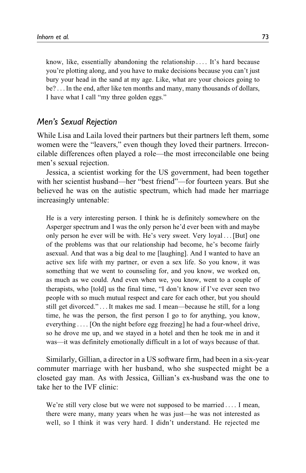know, like, essentially abandoning the relationship ... . It's hard because you're plotting along, and you have to make decisions because you can't just bury your head in the sand at my age. Like, what are your choices going to be? ...In the end, after like ten months and many, many thousands of dollars, I have what I call "my three golden eggs."

# *Men's Sexual Rejection*

While Lisa and Laila loved their partners but their partners left them, some women were the "leavers," even though they loved their partners. Irreconcilable differences often played a role—the most irreconcilable one being men's sexual rejection.

Jessica, a scientist working for the US government, had been together with her scientist husband—her "best friend"—for fourteen years. But she believed he was on the autistic spectrum, which had made her marriage increasingly untenable:

He is a very interesting person. I think he is definitely somewhere on the Asperger spectrum and I was the only person he'd ever been with and maybe only person he ever will be with. He's very sweet. Very loyal ... [But] one of the problems was that our relationship had become, he's become fairly asexual. And that was a big deal to me [laughing]. And I wanted to have an active sex life with my partner, or even a sex life. So you know, it was something that we went to counseling for, and you know, we worked on, as much as we could. And even when we, you know, went to a couple of therapists, who [told] us the final time, "I don't know if I've ever seen two people with so much mutual respect and care for each other, but you should still get divorced." ... It makes me sad. I mean—because he still, for a long time, he was the person, the first person I go to for anything, you know, everything ... . [On the night before egg freezing] he had a four-wheel drive, so he drove me up, and we stayed in a hotel and then he took me in and it was—it was definitely emotionally difficult in a lot of ways because of that.

Similarly, Gillian, a director in a US software firm, had been in a six-year commuter marriage with her husband, who she suspected might be a closeted gay man. As with Jessica, Gillian's ex-husband was the one to take her to the IVF clinic:

We're still very close but we were not supposed to be married .... I mean, there were many, many years when he was just—he was not interested as well, so I think it was very hard. I didn't understand. He rejected me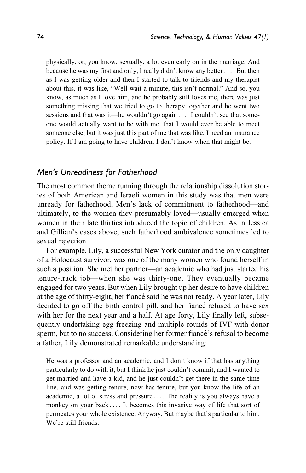physically, or, you know, sexually, a lot even early on in the marriage. And because he was my first and only, I really didn't know any better ... . But then as I was getting older and then I started to talk to friends and my therapist about this, it was like, "Well wait a minute, this isn't normal." And so, you know, as much as I love him, and he probably still loves me, there was just something missing that we tried to go to therapy together and he went two sessions and that was it—he wouldn't go again ... . I couldn't see that someone would actually want to be with me, that I would ever be able to meet someone else, but it was just this part of me that was like, I need an insurance policy. If I am going to have children, I don't know when that might be.

### *Men's Unreadiness for Fatherhood*

The most common theme running through the relationship dissolution stories of both American and Israeli women in this study was that men were unready for fatherhood. Men's lack of commitment to fatherhood—and ultimately, to the women they presumably loved—usually emerged when women in their late thirties introduced the topic of children. As in Jessica and Gillian's cases above, such fatherhood ambivalence sometimes led to sexual rejection.

For example, Lily, a successful New York curator and the only daughter of a Holocaust survivor, was one of the many women who found herself in such a position. She met her partner—an academic who had just started his tenure-track job—when she was thirty-one. They eventually became engaged for two years. But when Lily brought up her desire to have children at the age of thirty-eight, her fiancé said he was not ready. A year later, Lily decided to go off the birth control pill, and her fiancé refused to have sex with her for the next year and a half. At age forty, Lily finally left, subsequently undertaking egg freezing and multiple rounds of IVF with donor sperm, but to no success. Considering her former fiancé's refusal to become a father, Lily demonstrated remarkable understanding:

He was a professor and an academic, and I don't know if that has anything particularly to do with it, but I think he just couldn't commit, and I wanted to get married and have a kid, and he just couldn't get there in the same time line, and was getting tenure, now has tenure, but you know the life of an academic, a lot of stress and pressure ... . The reality is you always have a monkey on your back ... . It becomes this invasive way of life that sort of permeates your whole existence. Anyway. But maybe that's particular to him. We're still friends.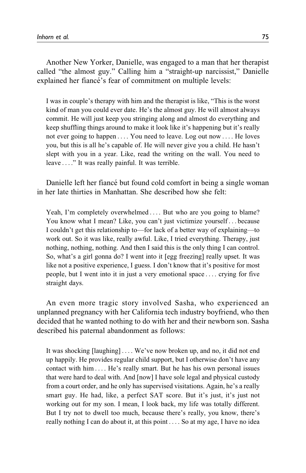Another New Yorker, Danielle, was engaged to a man that her therapist called "the almost guy." Calling him a "straight-up narcissist," Danielle explained her fiancé's fear of commitment on multiple levels:

I was in couple's therapy with him and the therapist is like, "This is the worst kind of man you could ever date. He's the almost guy. He will almost always commit. He will just keep you stringing along and almost do everything and keep shuffling things around to make it look like it's happening but it's really not ever going to happen ... . You need to leave. Log out now ... . He loves you, but this is all he's capable of. He will never give you a child. He hasn't slept with you in a year. Like, read the writing on the wall. You need to leave ... ." It was really painful. It was terrible.

Danielle left her fiancé but found cold comfort in being a single woman in her late thirties in Manhattan. She described how she felt:

Yeah, I'm completely overwhelmed .... But who are you going to blame? You know what I mean? Like, you can't just victimize yourself ... because I couldn't get this relationship to—for lack of a better way of explaining—to work out. So it was like, really awful. Like, I tried everything. Therapy, just nothing, nothing, nothing. And then I said this is the only thing I can control. So, what's a girl gonna do? I went into it [egg freezing] really upset. It was like not a positive experience, I guess. I don't know that it's positive for most people, but I went into it in just a very emotional space ... . crying for five straight days.

An even more tragic story involved Sasha, who experienced an unplanned pregnancy with her California tech industry boyfriend, who then decided that he wanted nothing to do with her and their newborn son. Sasha described his paternal abandonment as follows:

It was shocking [laughing] ... . We've now broken up, and no, it did not end up happily. He provides regular child support, but I otherwise don't have any contact with him ... . He's really smart. But he has his own personal issues that were hard to deal with. And [now] I have sole legal and physical custody from a court order, and he only has supervised visitations. Again, he's a really smart guy. He had, like, a perfect SAT score. But it's just, it's just not working out for my son. I mean, I look back, my life was totally different. But I try not to dwell too much, because there's really, you know, there's really nothing I can do about it, at this point ... . So at my age, I have no idea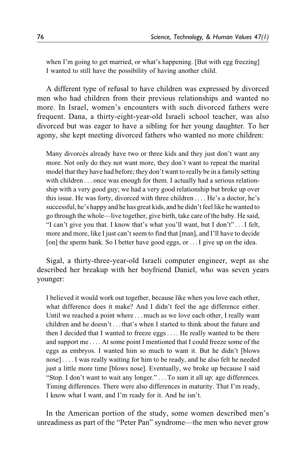when I'm going to get married, or what's happening. [But with egg freezing] I wanted to still have the possibility of having another child.

A different type of refusal to have children was expressed by divorced men who had children from their previous relationships and wanted no more. In Israel, women's encounters with such divorced fathers were frequent. Dana, a thirty-eight-year-old Israeli school teacher, was also divorced but was eager to have a sibling for her young daughter. To her agony, she kept meeting divorced fathers who wanted no more children:

Many divorcés already have two or three kids and they just don't want any more. Not only do they not want more, they don't want to repeat the marital model that they have had before; they don't want to really be in a family setting with children . . . once was enough for them. I actually had a serious relationship with a very good guy; we had a very good relationship but broke up over this issue. He was forty, divorced with three children ... . He's a doctor, he's successful, he's happy and he has great kids, and he didn't feel like he wanted to go through the whole—live together, give birth, take care of the baby. He said, "I can't give you that. I know that's what you'll want, but I don't" ...I felt, more and more, like I just can't seem to find that [man], and I'll have to decide [on] the sperm bank. So I better have good eggs, or . . . I give up on the idea.

Sigal, a thirty-three-year-old Israeli computer engineer, wept as she described her breakup with her boyfriend Daniel, who was seven years younger:

I believed it would work out together, because like when you love each other, what difference does it make? And I didn't feel the age difference either. Until we reached a point where ... much as we love each other, I really want children and he doesn't ... that's when I started to think about the future and then I decided that I wanted to freeze eggs... . He really wanted to be there and support me ... . At some point I mentioned that I could freeze some of the eggs as embryos. I wanted him so much to want it. But he didn't [blows nose] ... . I was really waiting for him to be ready, and he also felt he needed just a little more time [blows nose]. Eventually, we broke up because I said "Stop. I don't want to wait any longer." ... To sum it all up: age differences. Timing differences. There were also differences in maturity. That I'm ready, I know what I want, and I'm ready for it. And he isn't.

In the American portion of the study, some women described men's unreadiness as part of the "Peter Pan" syndrome—the men who never grow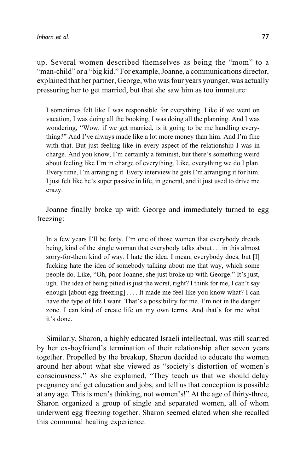up. Several women described themselves as being the "mom" to a "man-child" or a "big kid." For example, Joanne, a communications director, explained that her partner, George, who was four years younger, was actually pressuring her to get married, but that she saw him as too immature:

I sometimes felt like I was responsible for everything. Like if we went on vacation, I was doing all the booking, I was doing all the planning. And I was wondering, "Wow, if we get married, is it going to be me handling everything?" And I've always made like a lot more money than him. And I'm fine with that. But just feeling like in every aspect of the relationship I was in charge. And you know, I'm certainly a feminist, but there's something weird about feeling like I'm in charge of everything. Like, everything we do I plan. Every time, I'm arranging it. Every interview he gets I'm arranging it for him. I just felt like he's super passive in life, in general, and it just used to drive me crazy.

Joanne finally broke up with George and immediately turned to egg freezing:

In a few years I'll be forty. I'm one of those women that everybody dreads being, kind of the single woman that everybody talks about ... in this almost sorry-for-them kind of way. I hate the idea. I mean, everybody does, but [I] fucking hate the idea of somebody talking about me that way, which some people do. Like, "Oh, poor Joanne, she just broke up with George." It's just, ugh. The idea of being pitied is just the worst, right? I think for me, I can't say enough [about egg freezing] ... . It made me feel like you know what? I can have the type of life I want. That's a possibility for me. I'm not in the danger zone. I can kind of create life on my own terms. And that's for me what it's done.

Similarly, Sharon, a highly educated Israeli intellectual, was still scarred by her ex-boyfriend's termination of their relationship after seven years together. Propelled by the breakup, Sharon decided to educate the women around her about what she viewed as "society's distortion of women's consciousness." As she explained, "They teach us that we should delay pregnancy and get education and jobs, and tell us that conception is possible at any age. This is men's thinking, not women's!" At the age of thirty-three, Sharon organized a group of single and separated women, all of whom underwent egg freezing together. Sharon seemed elated when she recalled this communal healing experience: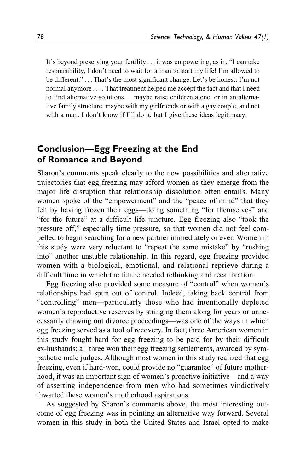It's beyond preserving your fertility ... it was empowering, as in, "I can take responsibility, I don't need to wait for a man to start my life! I'm allowed to be different." ... That's the most significant change. Let's be honest: I'm not normal anymore ... . That treatment helped me accept the fact and that I need to find alternative solutions... maybe raise children alone, or in an alternative family structure, maybe with my girlfriends or with a gay couple, and not with a man. I don't know if I'll do it, but I give these ideas legitimacy.

# **Conclusion—Egg Freezing at the End of Romance and Beyond**

Sharon's comments speak clearly to the new possibilities and alternative trajectories that egg freezing may afford women as they emerge from the major life disruption that relationship dissolution often entails. Many women spoke of the "empowerment" and the "peace of mind" that they felt by having frozen their eggs—doing something "for themselves" and "for the future" at a difficult life juncture. Egg freezing also "took the pressure off," especially time pressure, so that women did not feel compelled to begin searching for a new partner immediately or ever. Women in this study were very reluctant to "repeat the same mistake" by "rushing into" another unstable relationship. In this regard, egg freezing provided women with a biological, emotional, and relational reprieve during a difficult time in which the future needed rethinking and recalibration.

Egg freezing also provided some measure of "control" when women's relationships had spun out of control. Indeed, taking back control from "controlling" men—particularly those who had intentionally depleted women's reproductive reserves by stringing them along for years or unnecessarily drawing out divorce proceedings—was one of the ways in which egg freezing served as a tool of recovery. In fact, three American women in this study fought hard for egg freezing to be paid for by their difficult ex-husbands; all three won their egg freezing settlements, awarded by sympathetic male judges. Although most women in this study realized that egg freezing, even if hard-won, could provide no "guarantee" of future motherhood, it was an important sign of women's proactive initiative—and a way of asserting independence from men who had sometimes vindictively thwarted these women's motherhood aspirations.

As suggested by Sharon's comments above, the most interesting outcome of egg freezing was in pointing an alternative way forward. Several women in this study in both the United States and Israel opted to make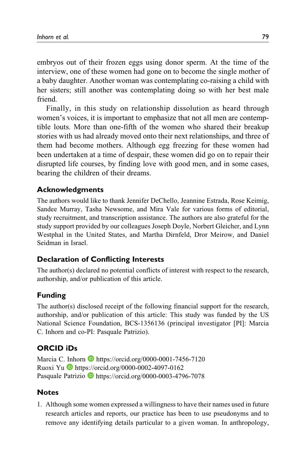<span id="page-26-0"></span>embryos out of their frozen eggs using donor sperm. At the time of the interview, one of these women had gone on to become the single mother of a baby daughter. Another woman was contemplating co-raising a child with her sisters; still another was contemplating doing so with her best male friend.

Finally, in this study on relationship dissolution as heard through women's voices, it is important to emphasize that not all men are contemptible louts. More than one-fifth of the women who shared their breakup stories with us had already moved onto their next relationships, and three of them had become mothers. Although egg freezing for these women had been undertaken at a time of despair, these women did go on to repair their disrupted life courses, by finding love with good men, and in some cases, bearing the children of their dreams.

### **Acknowledgments**

The authors would like to thank Jennifer DeChello, Jeannine Estrada, Rose Keimig, Sandee Murray, Tasha Newsome, and Mira Vale for various forms of editorial, study recruitment, and transcription assistance. The authors are also grateful for the study support provided by our colleagues Joseph Doyle, Norbert Gleicher, and Lynn Westphal in the United States, and Martha Dirnfeld, Dror Meirow, and Daniel Seidman in Israel.

### **Declaration of Conflicting Interests**

The author(s) declared no potential conflicts of interest with respect to the research, authorship, and/or publication of this article.

### **Funding**

The author(s) disclosed receipt of the following financial support for the research, authorship, and/or publication of this article: This study was funded by the US National Science Foundation, BCS-1356136 (principal investigator [PI]: Marcia C. Inhorn and co-PI: Pasquale Patrizio).

### **ORCID iDs**

Marcia C. Inhorn **b** <https://orcid.org/0000-0001-7456-7120> Ruoxi Yu <https://orcid.org/0000-0002-4097-0162> Pasquale Patrizio **<https://orcid.org/0000-0003-4796-7078>** 

### **Notes**

1. Although some women expressed a willingness to have their names used in future research articles and reports, our practice has been to use pseudonyms and to remove any identifying details particular to a given woman. In anthropology,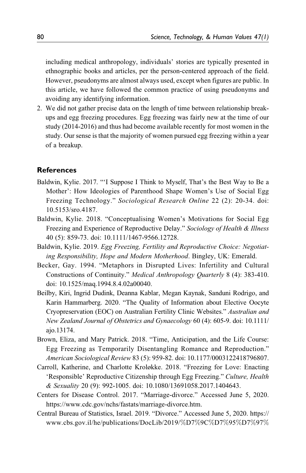<span id="page-27-0"></span>including medical anthropology, individuals' stories are typically presented in ethnographic books and articles, per the person-centered approach of the field. However, pseudonyms are almost always used, except when figures are public. In this article, we have followed the common practice of using pseudonyms and avoiding any identifying information.

2. We did not gather precise data on the length of time between relationship breakups and egg freezing procedures. Egg freezing was fairly new at the time of our study (2014-2016) and thus had become available recently for most women in the study. Our sense is that the majority of women pursued egg freezing within a year of a breakup.

#### **References**

- Baldwin, Kylie. 2017. "'I Suppose I Think to Myself, That's the Best Way to Be a Mother': How Ideologies of Parenthood Shape Women's Use of Social Egg Freezing Technology." Sociological Research Online 22 (2): 20-34. doi: 10.5153/sro.4187.
- Baldwin, Kylie. 2018. "Conceptualising Women's Motivations for Social Egg Freezing and Experience of Reproductive Delay." Sociology of Health & Illness 40 (5): 859-73. doi: 10.1111/1467-9566.12728.
- Baldwin, Kylie. 2019. Egg Freezing, Fertility and Reproductive Choice: Negotiating Responsibility, Hope and Modern Motherhood. Bingley, UK: Emerald.
- Becker, Gay. 1994. "Metaphors in Disrupted Lives: Infertility and Cultural Constructions of Continuity." Medical Anthropology Quarterly 8 (4): 383-410. doi: 10.1525/maq.1994.8.4.02a00040.
- Beilby, Kiri, Ingrid Dudink, Deanna Kablar, Megan Kaynak, Sanduni Rodrigo, and Karin Hammarberg. 2020. "The Quality of Information about Elective Oocyte Cryopreservation (EOC) on Australian Fertility Clinic Websites." Australian and New Zealand Journal of Obstetrics and Gynaecology 60 (4): 605-9. doi: 10.1111/ ajo.13174.
- Brown, Eliza, and Mary Patrick. 2018. "Time, Anticipation, and the Life Course: Egg Freezing as Temporarily Disentangling Romance and Reproduction." American Sociological Review 83 (5): 959-82. doi: 10.1177/0003122418796807.
- Carroll, Katherine, and Charlotte Kroløkke. 2018. "Freezing for Love: Enacting 'Responsible' Reproductive Citizenship through Egg Freezing." Culture, Health & Sexuality 20 (9): 992-1005. doi: 10.1080/13691058.2017.1404643.
- Centers for Disease Control. 2017. "Marriage-divorce." Accessed June 5, 2020. [https://www.cdc.gov/nchs/fastats/marriage-divorce.htm.](https://www.cdc.gov/nchs/fastats/marriage-divorce.htm)
- Central Bureau of Statistics, Israel. 2019. "Divorce." Accessed June 5, 2020. [https://](https://www.cbs.gov.il/he/publications/DocLib/2019/%D7%9C%D7%95%D7%97%D7%95%D7%AA%20%D7%AA%D7%9C%D7%95%D7%A9%D7%99%D7%9D/divorce_all.pdf) [www.cbs.gov.il/he/publications/DocLib/2019/](https://www.cbs.gov.il/he/publications/DocLib/2019/%D7%9C%D7%95%D7%97%D7%95%D7%AA%20%D7%AA%D7%9C%D7%95%D7%A9%D7%99%D7%9D/divorce_all.pdf)%[D7](https://www.cbs.gov.il/he/publications/DocLib/2019/%D7%9C%D7%95%D7%97%D7%95%D7%AA%20%D7%AA%D7%9C%D7%95%D7%A9%D7%99%D7%9D/divorce_all.pdf)%[9C](https://www.cbs.gov.il/he/publications/DocLib/2019/%D7%9C%D7%95%D7%97%D7%95%D7%AA%20%D7%AA%D7%9C%D7%95%D7%A9%D7%99%D7%9D/divorce_all.pdf)%[D7](https://www.cbs.gov.il/he/publications/DocLib/2019/%D7%9C%D7%95%D7%97%D7%95%D7%AA%20%D7%AA%D7%9C%D7%95%D7%A9%D7%99%D7%9D/divorce_all.pdf)%[95](https://www.cbs.gov.il/he/publications/DocLib/2019/%D7%9C%D7%95%D7%97%D7%95%D7%AA%20%D7%AA%D7%9C%D7%95%D7%A9%D7%99%D7%9D/divorce_all.pdf)%[D7](https://www.cbs.gov.il/he/publications/DocLib/2019/%D7%9C%D7%95%D7%97%D7%95%D7%AA%20%D7%AA%D7%9C%D7%95%D7%A9%D7%99%D7%9D/divorce_all.pdf)%[97](https://www.cbs.gov.il/he/publications/DocLib/2019/%D7%9C%D7%95%D7%97%D7%95%D7%AA%20%D7%AA%D7%9C%D7%95%D7%A9%D7%99%D7%9D/divorce_all.pdf)%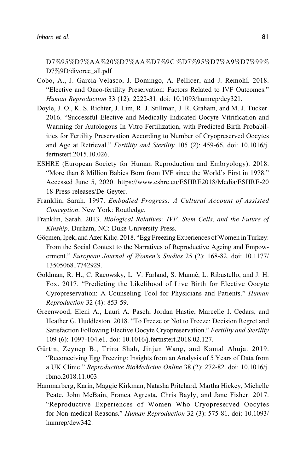<span id="page-28-0"></span>[D7](https://www.cbs.gov.il/he/publications/DocLib/2019/%D7%9C%D7%95%D7%97%D7%95%D7%AA%20%D7%AA%D7%9C%D7%95%D7%A9%D7%99%D7%9D/divorce_all.pdf)%[95](https://www.cbs.gov.il/he/publications/DocLib/2019/%D7%9C%D7%95%D7%97%D7%95%D7%AA%20%D7%AA%D7%9C%D7%95%D7%A9%D7%99%D7%9D/divorce_all.pdf)%[D7](https://www.cbs.gov.il/he/publications/DocLib/2019/%D7%9C%D7%95%D7%97%D7%95%D7%AA%20%D7%AA%D7%9C%D7%95%D7%A9%D7%99%D7%9D/divorce_all.pdf)%[AA](https://www.cbs.gov.il/he/publications/DocLib/2019/%D7%9C%D7%95%D7%97%D7%95%D7%AA%20%D7%AA%D7%9C%D7%95%D7%A9%D7%99%D7%9D/divorce_all.pdf)%[20](https://www.cbs.gov.il/he/publications/DocLib/2019/%D7%9C%D7%95%D7%97%D7%95%D7%AA%20%D7%AA%D7%9C%D7%95%D7%A9%D7%99%D7%9D/divorce_all.pdf)%[D7](https://www.cbs.gov.il/he/publications/DocLib/2019/%D7%9C%D7%95%D7%97%D7%95%D7%AA%20%D7%AA%D7%9C%D7%95%D7%A9%D7%99%D7%9D/divorce_all.pdf)%[AA](https://www.cbs.gov.il/he/publications/DocLib/2019/%D7%9C%D7%95%D7%97%D7%95%D7%AA%20%D7%AA%D7%9C%D7%95%D7%A9%D7%99%D7%9D/divorce_all.pdf)%[D7](https://www.cbs.gov.il/he/publications/DocLib/2019/%D7%9C%D7%95%D7%97%D7%95%D7%AA%20%D7%AA%D7%9C%D7%95%D7%A9%D7%99%D7%9D/divorce_all.pdf)%[9C](https://www.cbs.gov.il/he/publications/DocLib/2019/%D7%9C%D7%95%D7%97%D7%95%D7%AA%20%D7%AA%D7%9C%D7%95%D7%A9%D7%99%D7%9D/divorce_all.pdf) %[D7](https://www.cbs.gov.il/he/publications/DocLib/2019/%D7%9C%D7%95%D7%97%D7%95%D7%AA%20%D7%AA%D7%9C%D7%95%D7%A9%D7%99%D7%9D/divorce_all.pdf)%[95](https://www.cbs.gov.il/he/publications/DocLib/2019/%D7%9C%D7%95%D7%97%D7%95%D7%AA%20%D7%AA%D7%9C%D7%95%D7%A9%D7%99%D7%9D/divorce_all.pdf)%[D7](https://www.cbs.gov.il/he/publications/DocLib/2019/%D7%9C%D7%95%D7%97%D7%95%D7%AA%20%D7%AA%D7%9C%D7%95%D7%A9%D7%99%D7%9D/divorce_all.pdf)%[A9](https://www.cbs.gov.il/he/publications/DocLib/2019/%D7%9C%D7%95%D7%97%D7%95%D7%AA%20%D7%AA%D7%9C%D7%95%D7%A9%D7%99%D7%9D/divorce_all.pdf)%[D7](https://www.cbs.gov.il/he/publications/DocLib/2019/%D7%9C%D7%95%D7%97%D7%95%D7%AA%20%D7%AA%D7%9C%D7%95%D7%A9%D7%99%D7%9D/divorce_all.pdf)%[99](https://www.cbs.gov.il/he/publications/DocLib/2019/%D7%9C%D7%95%D7%97%D7%95%D7%AA%20%D7%AA%D7%9C%D7%95%D7%A9%D7%99%D7%9D/divorce_all.pdf)% [D7](https://www.cbs.gov.il/he/publications/DocLib/2019/%D7%9C%D7%95%D7%97%D7%95%D7%AA%20%D7%AA%D7%9C%D7%95%D7%A9%D7%99%D7%9D/divorce_all.pdf)%[9D/divorce\\_all.pdf](https://www.cbs.gov.il/he/publications/DocLib/2019/%D7%9C%D7%95%D7%97%D7%95%D7%AA%20%D7%AA%D7%9C%D7%95%D7%A9%D7%99%D7%9D/divorce_all.pdf)

- Cobo, A., J. Garcia-Velasco, J. Domingo, A. Pellicer, and J. Remohí. 2018. "Elective and Onco-fertility Preservation: Factors Related to IVF Outcomes." Human Reproduction 33 (12): 2222-31. doi: 10.1093/humrep/dey321.
- Doyle, J. O., K. S. Richter, J. Lim, R. J. Stillman, J. R. Graham, and M. J. Tucker. 2016. "Successful Elective and Medically Indicated Oocyte Vitrification and Warming for Autologous In Vitro Fertilization, with Predicted Birth Probabilities for Fertility Preservation According to Number of Cryopreserved Oocytes and Age at Retrieval." Fertility and Sterility 105 (2): 459-66. doi: 10.1016/j. fertnstert.2015.10.026.
- ESHRE (European Society for Human Reproduction and Embryology). 2018. "More than 8 Million Babies Born from IVF since the World's First in 1978." Accessed June 5, 2020. [https://www.eshre.eu/ESHRE2018/Media/ESHRE-20](https://www.eshre.eu/ESHRE2018/Media/ESHRE-2018-Press-releases/De-Geyter) [18-Press-releases/De-Geyter.](https://www.eshre.eu/ESHRE2018/Media/ESHRE-2018-Press-releases/De-Geyter)
- Franklin, Sarah. 1997. Embodied Progress: A Cultural Account of Assisted Conception. New York: Routledge.
- Franklin, Sarah. 2013. Biological Relatives: IVF, Stem Cells, and the Future of Kinship. Durham, NC: Duke University Press.
- Göçmen, İpek, and Azer Kılıç. 2018. "Egg Freezing Experiences of Women in Turkey: From the Social Context to the Narratives of Reproductive Ageing and Empowerment." European Journal of Women's Studies 25 (2): 168-82. doi: 10.1177/ 1350506817742929.
- Goldman, R. H., C. Racowsky, L. V. Farland, S. Munn´e, L. Ribustello, and J. H. Fox. 2017. "Predicting the Likelihood of Live Birth for Elective Oocyte Cyropreservation: A Counseling Tool for Physicians and Patients." Human Reproduction 32 (4): 853-59.
- Greenwood, Eleni A., Lauri A. Pasch, Jordan Hastie, Marcelle I. Cedars, and Heather G. Huddleston. 2018. "To Freeze or Not to Freeze: Decision Regret and Satisfaction Following Elective Oocyte Cryopreservation." Fertility and Sterility 109 (6): 1097-104.e1. doi: 10.1016/j.fertnstert.2018.02.127.
- Gürtin, Zeynep B., Trina Shah, Jinjun Wang, and Kamal Ahuja. 2019. "Reconceiving Egg Freezing: Insights from an Analysis of 5 Years of Data from a UK Clinic." Reproductive BioMedicine Online 38 (2): 272-82. doi: 10.1016/j. rbmo.2018.11.003.
- Hammarberg, Karin, Maggie Kirkman, Natasha Pritchard, Martha Hickey, Michelle Peate, John McBain, Franca Agresta, Chris Bayly, and Jane Fisher. 2017. "Reproductive Experiences of Women Who Cryopreserved Oocytes for Non-medical Reasons." Human Reproduction 32 (3): 575-81. doi: 10.1093/ humrep/dew342.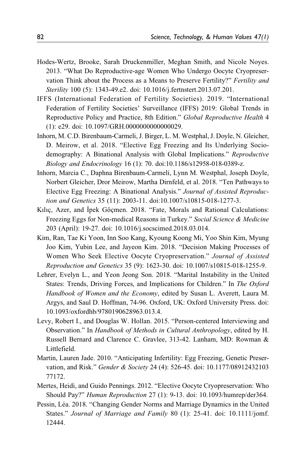- <span id="page-29-0"></span>Hodes-Wertz, Brooke, Sarah Druckenmiller, Meghan Smith, and Nicole Noyes. 2013. "What Do Reproductive-age Women Who Undergo Oocyte Cryopreservation Think about the Process as a Means to Preserve Fertility?" Fertility and Sterility 100 (5): 1343-49.e2. doi: 10.1016/j.fertnstert.2013.07.201.
- IFFS (International Federation of Fertility Societies). 2019. "International Federation of Fertility Societies' Surveillance (IFFS) 2019: Global Trends in Reproductive Policy and Practice, 8th Edition." Global Reproductive Health 4 (1): e29. doi: 10.1097/GRH.0000000000000029.
- Inhorn, M. C.D. Birenbaum-Carmeli, J. Birger, L. M. Westphal, J. Doyle, N. Gleicher, D. Meirow, et al. 2018. "Elective Egg Freezing and Its Underlying Sociodemography: A Binational Analysis with Global Implications." Reproductive Biology and Endocrinology 16 (1): 70. doi:10.1186/s12958-018-0389-z.
- Inhorn, Marcia C., Daphna Birenbaum-Carmeli, Lynn M. Westphal, Joseph Doyle, Norbert Gleicher, Dror Meirow, Martha Dirnfeld, et al. 2018. "Ten Pathways to Elective Egg Freezing: A Binational Analysis." Journal of Assisted Reproduction and Genetics 35 (11): 2003-11. doi:10.1007/s10815-018-1277-3.
- Kılıç, Azer, and İpek Göçmen. 2018. "Fate, Morals and Rational Calculations: Freezing Eggs for Non-medical Reasons in Turkey." Social Science & Medicine 203 (April): 19-27. doi: 10.1016/j.socscimed.2018.03.014.
- Kim, Ran, Tae Ki Yoon, Inn Soo Kang, Kyoung Koong Mi, Yoo Shin Kim, Myung Joo Kim, Yubin Lee, and Jayeon Kim. 2018. "Decision Making Processes of Women Who Seek Elective Oocyte Cryopreservation." Journal of Assisted Reproduction and Genetics 35 (9): 1623-30. doi: 10.1007/s10815-018-1255-9.
- Lehrer, Evelyn L., and Yeon Jeong Son. 2018. "Marital Instability in the United States: Trends, Driving Forces, and Implications for Children." In The Oxford Handbook of Women and the Economy, edited by Susan L. Averett, Laura M. Argys, and Saul D. Hoffman, 74-96. Oxford, UK: Oxford University Press. doi: 10.1093/oxfordhb/9780190628963.013.4.
- Levy, Robert I., and Douglas W. Hollan. 2015. "Person-centered Interviewing and Observation." In Handbook of Methods in Cultural Anthropology, edited by H. Russell Bernard and Clarence C. Gravlee, 313-42. Lanham, MD: Rowman & Littlefield.
- Martin, Lauren Jade. 2010. "Anticipating Infertility: Egg Freezing, Genetic Preservation, and Risk." Gender & Society 24 (4): 526-45. doi: 10.1177/08912432103 77172.
- Mertes, Heidi, and Guido Pennings. 2012. "Elective Oocyte Cryopreservation: Who Should Pay?" Human Reproduction 27 (1): 9-13. doi: 10.1093/humrep/der364.
- Pessin, Léa. 2018. "Changing Gender Norms and Marriage Dynamics in the United States." Journal of Marriage and Family 80 (1): 25-41. doi: 10.1111/jomf. 12444.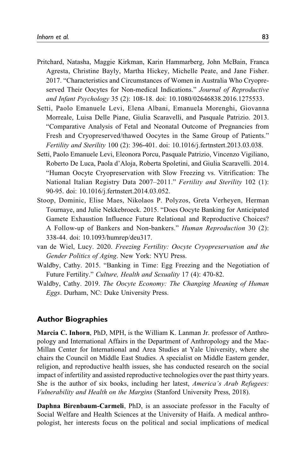- <span id="page-30-0"></span>Pritchard, Natasha, Maggie Kirkman, Karin Hammarberg, John McBain, Franca Agresta, Christine Bayly, Martha Hickey, Michelle Peate, and Jane Fisher. 2017. "Characteristics and Circumstances of Women in Australia Who Cryopreserved Their Oocytes for Non-medical Indications." Journal of Reproductive and Infant Psychology 35 (2): 108-18. doi: 10.1080/02646838.2016.1275533.
- Setti, Paolo Emanuele Levi, Elena Albani, Emanuela Morenghi, Giovanna Morreale, Luisa Delle Piane, Giulia Scaravelli, and Pasquale Patrizio. 2013. "Comparative Analysis of Fetal and Neonatal Outcome of Pregnancies from Fresh and Cryopreserved/thawed Oocytes in the Same Group of Patients." Fertility and Sterility 100 (2): 396-401. doi: 10.1016/j.fertnstert.2013.03.038.
- Setti, Paolo Emanuele Levi, Eleonora Porcu, Pasquale Patrizio, Vincenzo Vigiliano, Roberto De Luca, Paola d'Aloja, Roberta Spoletini, and Giulia Scaravelli. 2014. "Human Oocyte Cryopreservation with Slow Freezing vs. Vitrification: The National Italian Registry Data 2007–2011." Fertility and Sterility 102 (1): 90-95. doi: 10.1016/j.fertnstert.2014.03.052.
- Stoop, Dominic, Elise Maes, Nikolaos P. Polyzos, Greta Verheyen, Herman Tournaye, and Julie Nekkebroeck. 2015. "Does Oocyte Banking for Anticipated Gamete Exhaustion Influence Future Relational and Reproductive Choices? A Follow-up of Bankers and Non-bankers." Human Reproduction 30 (2): 338-44. doi: 10.1093/humrep/deu317.
- van de Wiel, Lucy. 2020. Freezing Fertility: Oocyte Cryopreservation and the Gender Politics of Aging. New York: NYU Press.
- Waldby, Cathy. 2015. "Banking in Time: Egg Freezing and the Negotiation of Future Fertility." Culture, Health and Sexuality 17 (4): 470-82.
- Waldby, Cathy. 2019. The Oocyte Economy: The Changing Meaning of Human Eggs. Durham, NC: Duke University Press.

#### **Author Biographies**

Marcia C. Inhorn, PhD, MPH, is the William K. Lanman Jr. professor of Anthropology and International Affairs in the Department of Anthropology and the Mac-Millan Center for International and Area Studies at Yale University, where she chairs the Council on Middle East Studies. A specialist on Middle Eastern gender, religion, and reproductive health issues, she has conducted research on the social impact of infertility and assisted reproductive technologies over the past thirty years. She is the author of six books, including her latest, America's Arab Refugees: Vulnerability and Health on the Margins (Stanford University Press, 2018).

Daphna Birenbaum-Carmeli, PhD, is an associate professor in the Faculty of Social Welfare and Health Sciences at the University of Haifa. A medical anthropologist, her interests focus on the political and social implications of medical